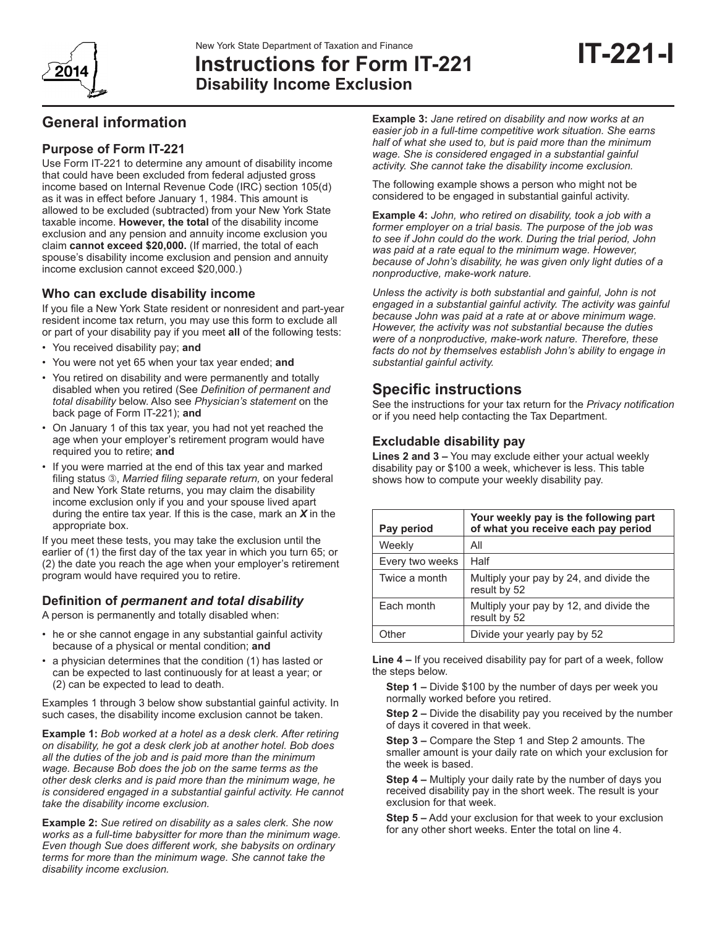# **Instructions for Form IT-221Disability Income Exclusion**

# **General information**

### **Purpose of Form IT-221**

Use Form IT-221 to determine any amount of disability income that could have been excluded from federal adjusted gross income based on Internal Revenue Code (IRC) section 105(d) as it was in effect before January 1, 1984. This amount is allowed to be excluded (subtracted) from your New York State taxable income. **However, the total** of the disability income exclusion and any pension and annuity income exclusion you claim **cannot exceed \$20,000.** (If married, the total of each spouse's disability income exclusion and pension and annuity income exclusion cannot exceed \$20,000.)

#### **Who can exclude disability income**

If you file a New York State resident or nonresident and part-year resident income tax return, you may use this form to exclude all or part of your disability pay if you meet **all** of the following tests:

- You received disability pay; **and**
- You were not yet 65 when your tax year ended; **and**
- You retired on disability and were permanently and totally disabled when you retired (See *Definition of permanent and total disability* below. Also see *Physician's statement* on the back page of Form IT-221); **and**
- On January 1 of this tax year, you had not yet reached the age when your employer's retirement program would have required you to retire; **and**
- If you were married at the end of this tax year and marked filing status 3, Married filing separate return, on your federal and New York State returns, you may claim the disability income exclusion only if you and your spouse lived apart during the entire tax year. If this is the case, mark an *X* in the appropriate box.

If you meet these tests, you may take the exclusion until the earlier of (1) the first day of the tax year in which you turn 65; or (2) the date you reach the age when your employer's retirement program would have required you to retire.

#### **Definition of** *permanent and total disability*

A person is permanently and totally disabled when:

- he or she cannot engage in any substantial gainful activity because of a physical or mental condition; **and**
- a physician determines that the condition (1) has lasted or can be expected to last continuously for at least a year; or (2) can be expected to lead to death.

Examples 1 through 3 below show substantial gainful activity. In such cases, the disability income exclusion cannot be taken.

**Example 1:** *Bob worked at a hotel as a desk clerk. After retiring on disability, he got a desk clerk job at another hotel. Bob does all the duties of the job and is paid more than the minimum wage. Because Bob does the job on the same terms as the other desk clerks and is paid more than the minimum wage, he is considered engaged in a substantial gainful activity. He cannot take the disability income exclusion.*

**Example 2:** *Sue retired on disability as a sales clerk. She now works as a full-time babysitter for more than the minimum wage. Even though Sue does different work, she babysits on ordinary terms for more than the minimum wage. She cannot take the disability income exclusion.*

**Example 3:** *Jane retired on disability and now works at an easier job in a full-time competitive work situation. She earns half of what she used to, but is paid more than the minimum wage. She is considered engaged in a substantial gainful activity. She cannot take the disability income exclusion.*

The following example shows a person who might not be considered to be engaged in substantial gainful activity.

**Example 4:** *John, who retired on disability, took a job with a former employer on a trial basis. The purpose of the job was to see if John could do the work. During the trial period, John was paid at a rate equal to the minimum wage. However, because of John's disability, he was given only light duties of a nonproductive, make-work nature.*

*Unless the activity is both substantial and gainful, John is not engaged in a substantial gainful activity. The activity was gainful because John was paid at a rate at or above minimum wage. However, the activity was not substantial because the duties were of a nonproductive, make-work nature. Therefore, these facts do not by themselves establish John's ability to engage in substantial gainful activity.*

## **Specific instructions**

See the instructions for your tax return for the *Privacy notification*  or if you need help contacting the Tax Department.

#### **Excludable disability pay**

**Lines 2 and 3 –** You may exclude either your actual weekly disability pay or \$100 a week, whichever is less. This table shows how to compute your weekly disability pay.

| Pay period      | Your weekly pay is the following part<br>of what you receive each pay period |
|-----------------|------------------------------------------------------------------------------|
| Weekly          | All                                                                          |
| Every two weeks | Half                                                                         |
| Twice a month   | Multiply your pay by 24, and divide the<br>result by 52                      |
| Each month      | Multiply your pay by 12, and divide the<br>result by 52                      |
| Other           | Divide your yearly pay by 52                                                 |

**Line 4 –** If you received disability pay for part of a week, follow the steps below.

**Step 1 –** Divide \$100 by the number of days per week you normally worked before you retired.

**Step 2 –** Divide the disability pay you received by the number of days it covered in that week.

**Step 3 –** Compare the Step 1 and Step 2 amounts. The smaller amount is your daily rate on which your exclusion for the week is based.

**Step 4 –** Multiply your daily rate by the number of days you received disability pay in the short week. The result is your exclusion for that week.

**Step 5 –** Add your exclusion for that week to your exclusion for any other short weeks. Enter the total on line 4.